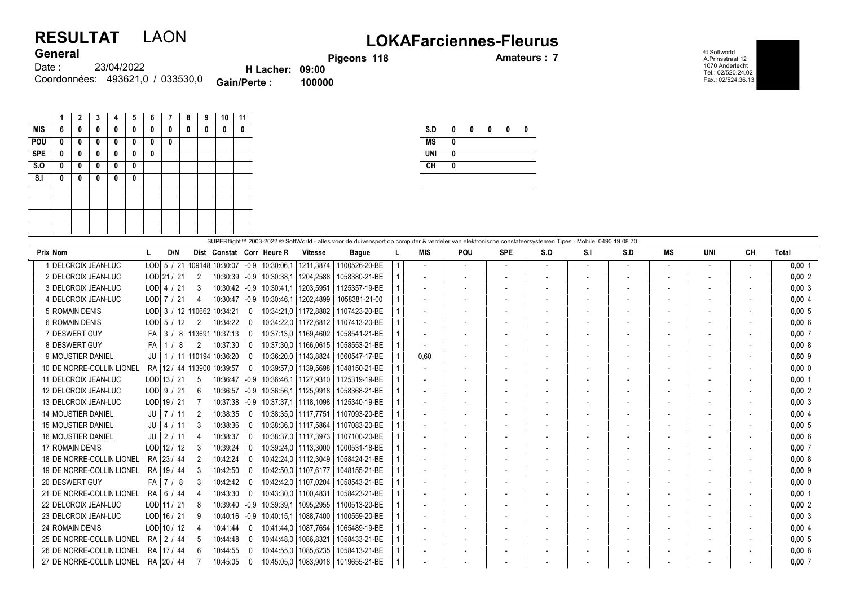## **General**

## RESULTAT LAON LOKAFarciennes-Fleurus

Pigeons 118 **Amateurs : 7** 

© Softworld A.Prinsstraat 12 1070 Anderlecht Tel.: 02/520.24.02 Fax.: 02/524.36.13

| <b>VEIIGLAL</b> |                                  |                        |        |
|-----------------|----------------------------------|------------------------|--------|
| Date :          | 23/04/2022                       | <b>H</b> Lacher: 09:00 |        |
|                 | Coordonnées: 493621.0 / 033530.0 | Gain/Perte:            | 100000 |

|            | 1 | 2 | 3 | 4 | 5 | 6 | 7 | 8 | 9 | 10 | 11 |
|------------|---|---|---|---|---|---|---|---|---|----|----|
| <b>MIS</b> | 6 | 0 | 0 | 0 | 0 | 0 | 0 | 0 | 0 | 0  | 0  |
| POU        | 0 | 0 | 0 | 0 | 0 | 0 | 0 |   |   |    |    |
| <b>SPE</b> | 0 | 0 | 0 | 0 | 0 | 0 |   |   |   |    |    |
| S.0        | 0 | 0 | 0 | 0 | 0 |   |   |   |   |    |    |
| S.I        | 0 | 0 | 0 | 0 | 0 |   |   |   |   |    |    |
|            |   |   |   |   |   |   |   |   |   |    |    |
|            |   |   |   |   |   |   |   |   |   |    |    |
|            |   |   |   |   |   |   |   |   |   |    |    |
|            |   |   |   |   |   |   |   |   |   |    |    |
|            |   |   |   |   |   |   |   |   |   |    |    |

| S.D        | 0 | 0 | 0 | 0 | 0 |
|------------|---|---|---|---|---|
| <b>MS</b>  | 0 |   |   |   |   |
| <b>UNI</b> | 0 |   |   |   |   |
| CH         | 0 |   |   |   |   |
|            |   |   |   |   |   |

| SUPERflight™ 2003-2022 © SoftWorld - alles voor de duivensport op computer & verdeler van elektronische constateersystemen Tipes - Mobile: 0490 19 08 70 |               |        |                |                                          |              |                           |                        |                                        |  |                          |            |            |                          |     |     |                          |                          |           |            |
|----------------------------------------------------------------------------------------------------------------------------------------------------------|---------------|--------|----------------|------------------------------------------|--------------|---------------------------|------------------------|----------------------------------------|--|--------------------------|------------|------------|--------------------------|-----|-----|--------------------------|--------------------------|-----------|------------|
| <b>Prix Nom</b>                                                                                                                                          | L             | D/N    |                |                                          |              | Dist Constat Corr Heure R | <b>Vitesse</b>         | <b>Bague</b>                           |  | <b>MIS</b>               | <b>POU</b> | <b>SPE</b> | S.O                      | S.I | S.D | МS                       | UNI                      | <b>CH</b> | Total      |
| I DELCROIX JEAN-LUC                                                                                                                                      |               |        |                | LOD $\,$ 5 / 21   109148   10:30:07 $\,$ | $-0.9$       | 10:30:06.1                |                        | 1211.3874 1100526-20-BE                |  | $\overline{\phantom{a}}$ | $\sim$     |            | $\overline{\phantom{a}}$ |     |     | $\overline{\phantom{a}}$ | $\overline{\phantom{a}}$ |           | $0,00$ 1   |
| 2 DELCROIX JEAN-LUC                                                                                                                                      | LOD 21 / 21   |        | 2              | 10:30:39                                 | $ -0.9$      | 10:30:38.1                | 1204,2588              | 1058380-21-BE                          |  | $\overline{\phantom{a}}$ |            |            |                          |     |     | $\overline{\phantom{a}}$ |                          |           | $0,00$  2  |
| 3 DELCROIX JEAN-LUC                                                                                                                                      | LOD  4 / 21   |        | 3              | 10:30:42                                 | $-0.9$       | 10:30:41.1                | 1203.5951              | 1125357-19-BE                          |  |                          |            |            |                          |     |     | $\overline{\phantom{a}}$ |                          |           | $0,00$ 3   |
| 4 DELCROIX JEAN-LUC                                                                                                                                      | LODI 7 / 21   |        | 4              | 10:30:47                                 | $ -0.9$      | 10:30:46.1                | 1202,4899              | 1058381-21-00                          |  |                          |            |            |                          |     |     | $\overline{\phantom{a}}$ |                          |           | 0,00   4   |
| 5 ROMAIN DENIS                                                                                                                                           |               |        |                | LODI 3 / 12 110662 10:34:21              | $\mathbf{0}$ |                           |                        | 10:34:21.0   1172.8882   1107423-20-BE |  |                          |            |            |                          |     |     |                          |                          |           | $0,00$ 5   |
| <b>6 ROMAIN DENIS</b>                                                                                                                                    | LODI 5 /      | 12     | 2              | 10:34:22                                 | $\mathbf{0}$ |                           |                        | 10:34:22.0   1172.6812   1107413-20-BE |  |                          |            |            |                          |     |     |                          |                          |           | 0,006      |
| 7 DESWERT GUY                                                                                                                                            | FA I          | 3/8    | 113691         | 10:37:13                                 | $\mathbf{0}$ |                           | 10:37:13.0   1169.4602 | 1058541-21-BE                          |  |                          |            |            |                          |     |     |                          |                          |           | 0,007      |
| 8 DESWERT GUY                                                                                                                                            | FA            | -8     | 2              | 10:37:30                                 | $\mathbf{0}$ |                           | 10:37:30.0   1166.0615 | 1058553-21-BE                          |  |                          |            |            |                          |     |     |                          |                          |           | 0,008      |
| 9 MOUSTIER DANIEL                                                                                                                                        | JU            |        |                | 1 / 11 110194 10:36:20                   | $\Omega$     | 10:36:20.0                | 1143.8824              | 1060547-17-BE                          |  | 0.60                     |            |            |                          |     |     | $\overline{\phantom{a}}$ |                          |           | $0,60$  9  |
| 10 DE NORRE-COLLIN LIONEL                                                                                                                                |               |        |                | RA 12 / 44 113900 10:39:57               | $\Omega$     | 10:39:57.0                | 1139.5698              | 1048150-21-BE                          |  |                          |            |            |                          |     |     |                          |                          |           | 0,00 0     |
| 11 DELCROIX JEAN-LUC                                                                                                                                     | $LOD$ 13 / 21 |        | -5             | 10:36:47                                 | $ -0,9$      | 10:36:46.1                |                        | 1127,9310   1125319-19-BE              |  | $\overline{\phantom{a}}$ |            |            |                          |     |     | $\overline{\phantom{0}}$ |                          |           | $0,00$   1 |
| 12 DELCROIX JEAN-LUC                                                                                                                                     | LODI 9 / 21   |        | 6              | 10:36:57                                 | $-0.9$       | 10:36:56.1                | 1125.9918              | 1058368-21-BE                          |  |                          |            |            |                          |     |     |                          |                          |           | $0,00$  2  |
| 13 DELCROIX JEAN-LUC                                                                                                                                     | LOD 19 / 21   |        |                | 10:37:38                                 | $ -0.9$      | 10:37:37.1                |                        | 1118.1098 1125340-19-BE                |  |                          |            |            |                          |     |     | $\overline{\phantom{a}}$ |                          |           | $0,00$ 3   |
| <b>14 MOUSTIER DANIEL</b>                                                                                                                                | $JU$   7      | /11    | 2              | 10:38:35                                 | $\Omega$     |                           |                        | 10:38:35.0   1117.7751   1107093-20-BE |  |                          |            |            |                          |     |     | $\overline{\phantom{a}}$ |                          |           | 0,0014     |
| <b>15 MOUSTIER DANIEL</b>                                                                                                                                | JU I          | 4 / 11 | 3              | 10:38:36                                 | 0            |                           |                        | 10:38:36.0   1117.5864   1107083-20-BE |  |                          |            |            |                          |     |     | $\overline{\phantom{a}}$ | $\overline{\phantom{a}}$ |           | 0,005      |
| <b>16 MOUSTIER DANIEL</b>                                                                                                                                | $JU$   2 / 11 |        |                | 10:38:37                                 | $\Omega$     |                           |                        | 10:38:37,0   1117,3973   1107100-20-BE |  |                          |            |            |                          |     |     |                          |                          |           | $0,00$ 6   |
| <b>17 ROMAIN DENIS</b>                                                                                                                                   | LOD  12 / 12  |        | 3              | 10:39:24                                 | <sup>0</sup> |                           | 10:39:24.0   1113.3000 | 1000531-18-BE                          |  |                          |            |            |                          |     |     |                          |                          |           | $0,00$ 7   |
| 18 DE NORRE-COLLIN LIONEL                                                                                                                                | RA 23 / 44    |        | $\mathfrak{D}$ | 10:42:24                                 | $\Omega$     |                           | 10:42:24.0   1112.3049 | 1058424-21-BE                          |  |                          |            |            |                          |     |     |                          |                          |           | 0.0018     |
| 19 DE NORRE-COLLIN LIONEL                                                                                                                                | RA 19 / 44    |        | $\mathcal{R}$  | 10:42:50                                 | $\Omega$     |                           | 10:42:50.0   1107.6177 | 1048155-21-BE                          |  |                          |            |            |                          |     |     |                          |                          |           | $0.00$  9  |
| 20 DESWERT GUY                                                                                                                                           | $FA$ $7/8$    |        | 3              | 10:42:42                                 | 0            | 10:42:42.0                | 1107.0204              | 1058543-21-BE                          |  |                          |            |            |                          |     |     |                          |                          |           | 0,00 0     |
| 21 DE NORRE-COLLIN LIONEL                                                                                                                                | RA 6 / 44     |        |                | 10:43:30                                 | <sup>0</sup> | 10:43:30.0                | 1100,4831              | 1058423-21-BE                          |  |                          |            |            |                          |     |     | $\overline{a}$           |                          |           | $0,00$   1 |
| 22 DELCROIX JEAN-LUC                                                                                                                                     | LOD 11 / 21   |        | 8              | 10:39:40                                 | $ -0.9$      | 10:39:39.1                |                        | 1095.2955   1100513-20-BE              |  | $\overline{\phantom{a}}$ |            |            |                          |     |     | $\overline{\phantom{a}}$ |                          |           | $0,00$  2  |
| 23 DELCROIX JEAN-LUC                                                                                                                                     | LOD 16 / 21   |        |                | 10:40:16                                 | $ -0.9$      | 10:40:15.1                |                        | 1088,7400   1100559-20-BE              |  |                          |            |            |                          |     |     |                          |                          |           | $0,00$ 3   |
| <b>24 ROMAIN DENIS</b>                                                                                                                                   | LOD 10 / 12   |        |                | 10:41:44                                 | $\Omega$     | 10 41 44 0                | 1087.7654              | 1065489-19-BE                          |  |                          |            |            |                          |     |     | $\overline{\phantom{a}}$ |                          |           | 0,00   4   |
| 25 DE NORRE-COLLIN LIONEL                                                                                                                                | RA 2 / 44     |        | 5              | 10:44:48                                 | <sup>0</sup> | 10:44:48.0                | 1086.8321              | 1058433-21-BE                          |  |                          |            |            |                          |     |     | $\overline{\phantom{a}}$ |                          |           | $0,00$ 5   |
| 26 DE NORRE-COLLIN LIONEL                                                                                                                                | RA   17 / 44  |        | 6              | 10:44:55                                 | $\Omega$     | 10:44:55.0                | 1085,6235              | 1058413-21-BE                          |  |                          |            |            |                          |     |     |                          |                          |           | $0,00$ 6   |
| 27 DE NORRE-COLLIN LIONEL                                                                                                                                | RA 20 / 44    |        |                | 10:45:05                                 | 0            | 10:45:05.0                |                        | 1083,9018   1019655-21-BE              |  |                          |            |            |                          |     |     |                          |                          |           | $0,00$ 7   |